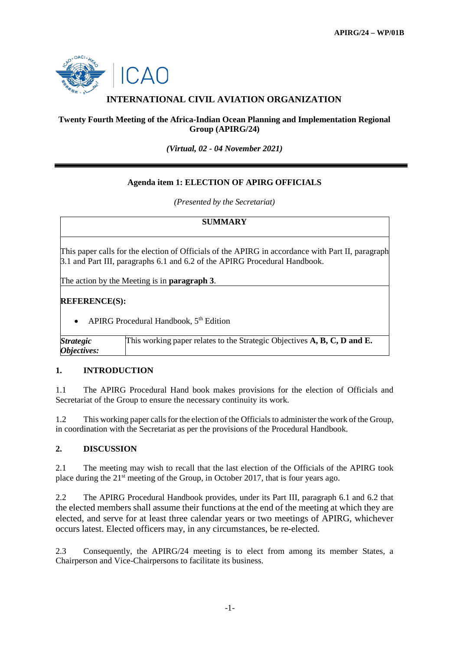

# **INTERNATIONAL CIVIL AVIATION ORGANIZATION**

## **Twenty Fourth Meeting of the Africa-Indian Ocean Planning and Implementation Regional Group (APIRG/24)**

*(Virtual, 02 - 04 November 2021)*

# **Agenda item 1: ELECTION OF APIRG OFFICIALS**

*(Presented by the Secretariat)*

## **SUMMARY**

This paper calls for the election of Officials of the APIRG in accordance with Part II, paragraph 3.1 and Part III, paragraphs 6.1 and 6.2 of the APIRG Procedural Handbook.

The action by the Meeting is in **paragraph 3**.

#### **REFERENCE(S):**

• APIRG Procedural Handbook, 5<sup>th</sup> Edition

*Strategic Objectives:* This working paper relates to the Strategic Objectives **A, B, C, D and E.**

## **1. INTRODUCTION**

1.1 The APIRG Procedural Hand book makes provisions for the election of Officials and Secretariat of the Group to ensure the necessary continuity its work.

1.2 This working paper calls for the election of the Officials to administer the work of the Group, in coordination with the Secretariat as per the provisions of the Procedural Handbook.

## **2. DISCUSSION**

2.1 The meeting may wish to recall that the last election of the Officials of the APIRG took place during the 21st meeting of the Group, in October 2017, that is four years ago.

2.2 The APIRG Procedural Handbook provides, under its Part III, paragraph 6.1 and 6.2 that the elected members shall assume their functions at the end of the meeting at which they are elected, and serve for at least three calendar years or two meetings of APIRG, whichever occurs latest. Elected officers may, in any circumstances, be re-elected.

2.3 Consequently, the APIRG/24 meeting is to elect from among its member States, a Chairperson and Vice-Chairpersons to facilitate its business.